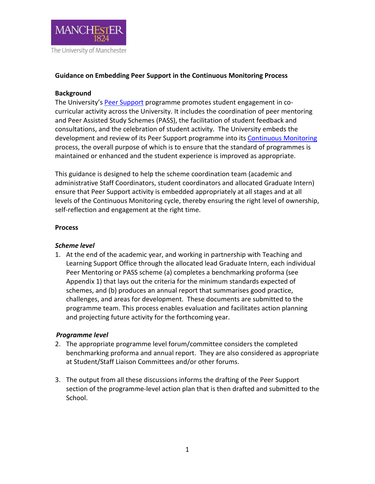

### **Guidance on Embedding Peer Support in the Continuous Monitoring Process**

### **Background**

The University's [Peer Support](http://www.tlso.manchester.ac.uk/peer-support/) programme promotes student engagement in cocurricular activity across the University. It includes the coordination of peer mentoring and Peer Assisted Study Schemes (PASS), the facilitation of student feedback and consultations, and the celebration of student activity. The University embeds the development and review of its Peer Support programme into its [Continuous Monitoring](http://documents.manchester.ac.uk/display.aspx?DocID=2384) process, the overall purpose of which is to ensure that the standard of programmes is maintained or enhanced and the student experience is improved as appropriate.

This guidance is designed to help the scheme coordination team (academic and administrative Staff Coordinators, student coordinators and allocated Graduate Intern) ensure that Peer Support activity is embedded appropriately at all stages and at all levels of the Continuous Monitoring cycle, thereby ensuring the right level of ownership, self-reflection and engagement at the right time.

#### **Process**

### *Scheme level*

1. At the end of the academic year, and working in partnership with Teaching and Learning Support Office through the allocated lead Graduate Intern, each individual Peer Mentoring or PASS scheme (a) completes a benchmarking proforma (see Appendix 1) that lays out the criteria for the minimum standards expected of schemes, and (b) produces an annual report that summarises good practice, challenges, and areas for development. These documents are submitted to the programme team. This process enables evaluation and facilitates action planning and projecting future activity for the forthcoming year.

#### *Programme level*

- 2. The appropriate programme level forum/committee considers the completed benchmarking proforma and annual report. They are also considered as appropriate at Student/Staff Liaison Committees and/or other forums.
- 3. The output from all these discussions informs the drafting of the Peer Support section of the programme-level action plan that is then drafted and submitted to the School.